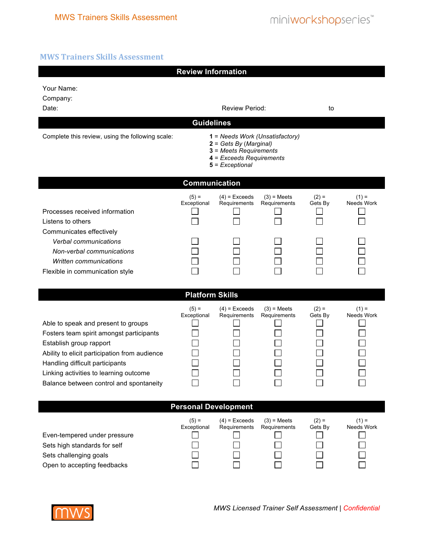## **MWS Trainers Skills Assessment**

| <b>Review Information</b>                                                                                                                                                                                                                                                           |                                                                                                                                                               |                                 |                               |                    |                       |  |  |  |  |
|-------------------------------------------------------------------------------------------------------------------------------------------------------------------------------------------------------------------------------------------------------------------------------------|---------------------------------------------------------------------------------------------------------------------------------------------------------------|---------------------------------|-------------------------------|--------------------|-----------------------|--|--|--|--|
| Your Name:<br>Company:<br>Date:                                                                                                                                                                                                                                                     | Review Period:                                                                                                                                                |                                 |                               | to                 |                       |  |  |  |  |
| Complete this review, using the following scale:                                                                                                                                                                                                                                    | <b>Guidelines</b><br>1 = Needs Work (Unsatisfactory)<br>$2 = Gets By (Marginal)$<br>3 = Meets Requirements<br>$4$ = Exceeds Requirements<br>$5$ = Exceptional |                                 |                               |                    |                       |  |  |  |  |
| <b>Communication</b>                                                                                                                                                                                                                                                                |                                                                                                                                                               |                                 |                               |                    |                       |  |  |  |  |
| Processes received information<br>Listens to others<br>Communicates effectively                                                                                                                                                                                                     | $(5) =$<br>Exceptional                                                                                                                                        | $(4)$ = Exceeds<br>Requirements | $(3)$ = Meets<br>Requirements | $(2) =$<br>Gets By | $(1) =$<br>Needs Work |  |  |  |  |
| Verbal communications<br>Non-verbal communications<br>Written communications<br>Flexible in communication style                                                                                                                                                                     |                                                                                                                                                               |                                 |                               |                    |                       |  |  |  |  |
| <b>Platform Skills</b>                                                                                                                                                                                                                                                              |                                                                                                                                                               |                                 |                               |                    |                       |  |  |  |  |
| Able to speak and present to groups<br>Fosters team spirit amongst participants<br>Establish group rapport<br>Ability to elicit participation from audience<br>Handling difficult participants<br>Linking activities to learning outcome<br>Balance between control and spontaneity | $(5) =$<br>Exceptional                                                                                                                                        | $(4)$ = Exceeds<br>Requirements | $(3)$ = Meets<br>Requirements | $(2) =$<br>Gets By | $(1) =$<br>Needs Work |  |  |  |  |
| <b>Personal Development</b>                                                                                                                                                                                                                                                         |                                                                                                                                                               |                                 |                               |                    |                       |  |  |  |  |
| Even-tempered under pressure<br>Sets high standards for self<br>Sets challenging goals<br>Open to accepting feedbacks                                                                                                                                                               | $(5) =$<br>Exceptional                                                                                                                                        | $(4)$ = Exceeds<br>Requirements | $(3)$ = Meets<br>Requirements | $(2) =$<br>Gets By | $(1) =$<br>Needs Work |  |  |  |  |